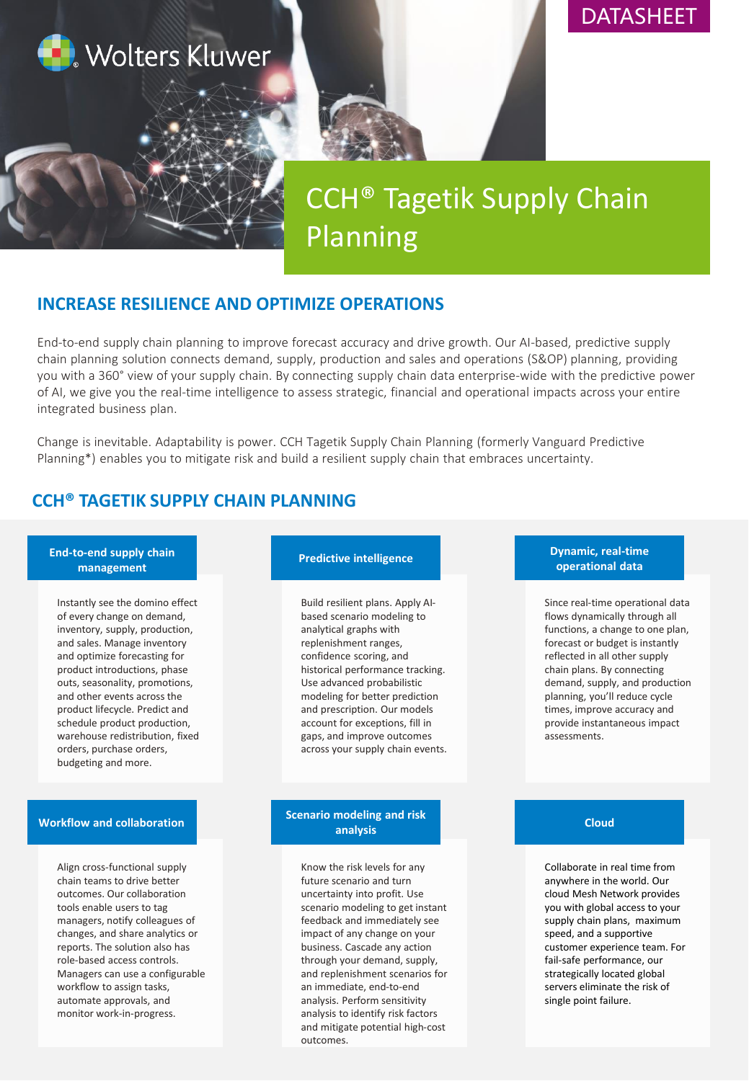

# DATASHEET

# CCH® Tagetik Supply Chain Planning

# **INCREASE RESILIENCE AND OPTIMIZE OPERATIONS**

End-to-end supply chain planning to improve forecast accuracy and drive growth. Our AI-based, predictive supply chain planning solution connects demand, supply, production and sales and operations (S&OP) planning, providing you with a 360° view of your supply chain. By connecting supply chain data enterprise-wide with the predictive power of AI, we give you the real-time intelligence to assess strategic, financial and operational impacts across your entire integrated business plan.

Change is inevitable. Adaptability is power. CCH Tagetik Supply Chain Planning (formerly Vanguard Predictive Planning\*) enables you to mitigate risk and build a resilient supply chain that embraces uncertainty.

# **CCH® TAGETIK SUPPLY CHAIN PLANNING**

## **End-to-end supply chain management**

Instantly see the domino effect of every change on demand, inventory, supply, production, and sales. Manage inventory and optimize forecasting for product introductions, phase outs, seasonality, promotions, and other events across the product lifecycle. Predict and schedule product production, warehouse redistribution, fixed orders, purchase orders, budgeting and more.

# **Workflow and collaboration**

Align cross-functional supply chain teams to drive better outcomes. Our collaboration tools enable users to tag managers, notify colleagues of changes, and share analytics or reports. The solution also has role-based access controls. Managers can use a configurable workflow to assign tasks, automate approvals, and monitor work-in-progress.

### **Predictive intelligence**

Build resilient plans. Apply AIbased scenario modeling to analytical graphs with replenishment ranges, confidence scoring, and historical performance tracking. Use advanced probabilistic modeling for better prediction and prescription. Our models account for exceptions, fill in gaps, and improve outcomes across your supply chain events.

## **Scenario modeling and risk analysis**

Know the risk levels for any future scenario and turn uncertainty into profit. Use scenario modeling to get instant feedback and immediately see impact of any change on your business. Cascade any action through your demand, supply, and replenishment scenarios for an immediate, end-to-end analysis. Perform sensitivity analysis to identify risk factors and mitigate potential high-cost outcomes.

# **Dynamic, real-time operational data**

Since real-time operational data flows dynamically through all functions, a change to one plan, forecast or budget is instantly reflected in all other supply chain plans. By connecting demand, supply, and production planning, you'll reduce cycle times, improve accuracy and provide instantaneous impact assessments.

## **Cloud**

Collaborate in real time from anywhere in the world. Our cloud Mesh Network provides you with global access to your supply chain plans, maximum speed, and a supportive customer experience team. For fail-safe performance, our strategically located global servers eliminate the risk of single point failure.